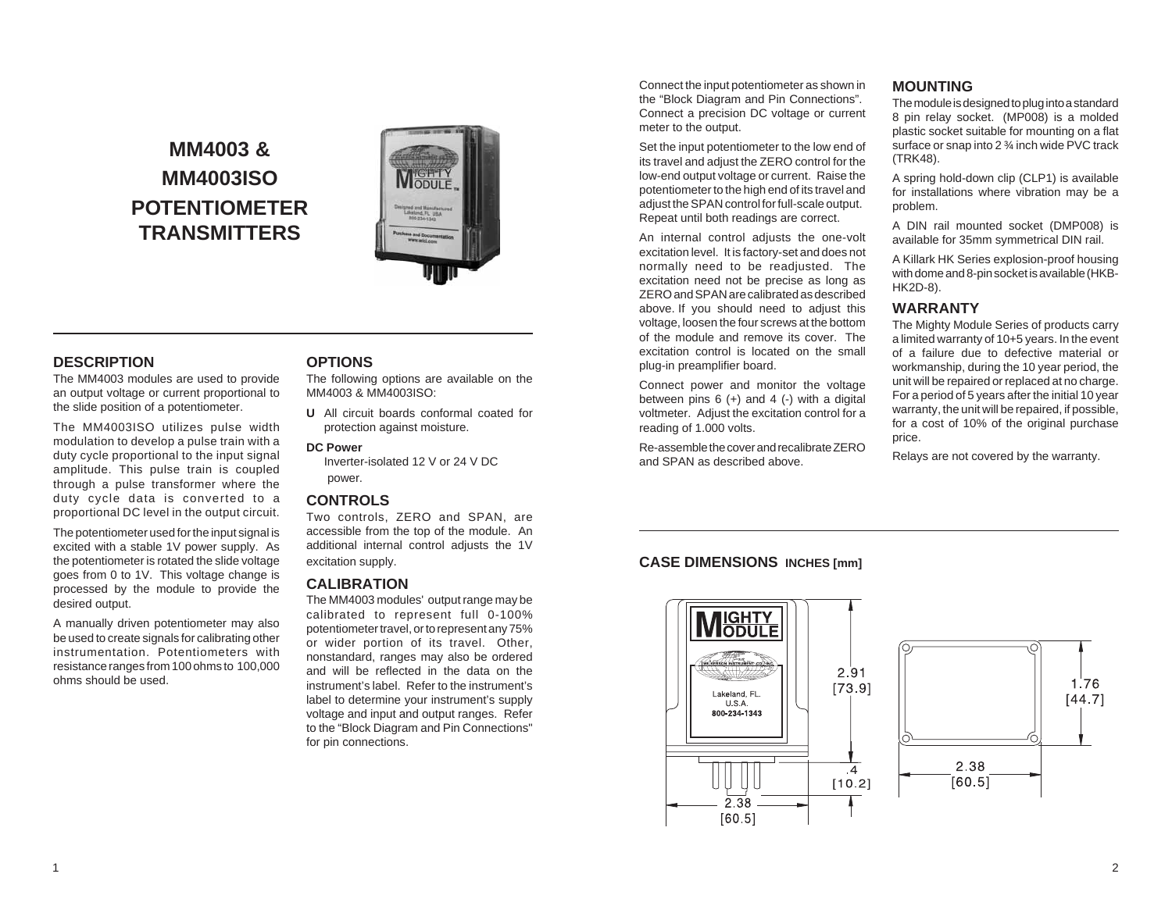# **MM4003 & MM4003ISO POTENTIOMETER TRANSMITTERS**



# **DESCRIPTION**

The MM4003 modules are used to provide an output voltage or current proportional to the slide position of a potentiometer.

The MM4003ISO utilizes pulse width modulation to develop a pulse train with a duty cycle proportional to the input signal amplitude. This pulse train is coupled through a pulse transformer where the duty cycle data is converted to a proportional DC level in the output circuit.

The potentiometer used for the input signal is excited with a stable 1V power supply. As the potentiometer is rotated the slide voltage goes from 0 to 1V. This voltage change is processed by the module to provide the desired output.

A manually driven potentiometer may also be used to create signals for calibrating other instrumentation. Potentiometers with resistance ranges from 100 ohms to 100,000 ohms should be used.

## **OPTIONS**

The following options are available on the MM4003 & MM4003ISO:

**U** All circuit boards conformal coated for protection against moisture.

### **DC Power**

Inverter-isolated 12 V or 24 V DC power.

#### **CONTROLS**

Two controls, ZERO and SPAN, are accessible from the top of the module. An additional internal control adjusts the 1V excitation supply.

## **CALIBRATION**

The MM4003 modules' output range may be calibrated to represent full 0-100% potentiometer travel, or to represent any 75% or wider portion of its travel. Other, nonstandard, ranges may also be ordered and will be reflected in the data on the instrument's label. Refer to the instrument's label to determine your instrument's supply voltage and input and output ranges. Refer to the "Block Diagram and Pin Connections" for pin connections.

Connect the input potentiometer as shown in the "Block Diagram and Pin Connections". Connect a precision DC voltage or current meter to the output.

Set the input potentiometer to the low end of its travel and adjust the ZERO control for the low-end output voltage or current. Raise the potentiometer to the high end of its travel and adjust the SPAN control for full-scale output. Repeat until both readings are correct.

An internal control adjusts the one-volt excitation level. It is factory-set and does not normally need to be readjusted. The excitation need not be precise as long as ZERO and SPAN are calibrated as described above. If you should need to adjust this voltage, loosen the four screws at the bottom of the module and remove its cover. The excitation control is located on the small plug-in preamplifier board.

Connect power and monitor the voltage between pins  $6 (+)$  and  $4 (-)$  with a digital voltmeter. Adjust the excitation control for a reading of 1.000 volts.

Re-assemble the cover and recalibrate ZERO and SPAN as described above.

# **MOUNTING**

The module is designed to plug into a standard 8 pin relay socket. (MP008) is a molded plastic socket suitable for mounting on a flat surface or snap into 2 ¾ inch wide PVC track (TRK48).

A spring hold-down clip (CLP1) is available for installations where vibration may be a problem.

A DIN rail mounted socket (DMP008) is available for 35mm symmetrical DIN rail.

A Killark HK Series explosion-proof housing with dome and 8-pin socket is available (HKB-HK2D-8).

## **WARRANTY**

The Mighty Module Series of products carry a limited warranty of 10+5 years. In the event of a failure due to defective material or workmanship, during the 10 year period, the unit will be repaired or replaced at no charge. For a period of 5 years after the initial 10 year warranty, the unit will be repaired, if possible, for a cost of 10% of the original purchase price.

Relays are not covered by the warranty.

# **CASE DIMENSIONS INCHES [mm]**